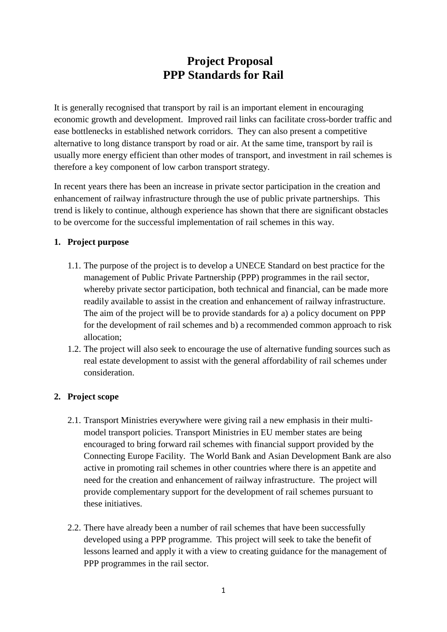# **Project Proposal PPP Standards for Rail**

It is generally recognised that transport by rail is an important element in encouraging economic growth and development. Improved rail links can facilitate cross-border traffic and ease bottlenecks in established network corridors. They can also present a competitive alternative to long distance transport by road or air. At the same time, transport by rail is usually more energy efficient than other modes of transport, and investment in rail schemes is therefore a key component of low carbon transport strategy.

In recent years there has been an increase in private sector participation in the creation and enhancement of railway infrastructure through the use of public private partnerships. This trend is likely to continue, although experience has shown that there are significant obstacles to be overcome for the successful implementation of rail schemes in this way.

#### **1. Project purpose**

- 1.1. The purpose of the project is to develop a UNECE Standard on best practice for the management of Public Private Partnership (PPP) programmes in the rail sector, whereby private sector participation, both technical and financial, can be made more readily available to assist in the creation and enhancement of railway infrastructure. The aim of the project will be to provide standards for a) a policy document on PPP for the development of rail schemes and b) a recommended common approach to risk allocation;
- 1.2. The project will also seek to encourage the use of alternative funding sources such as real estate development to assist with the general affordability of rail schemes under consideration.

### **2. Project scope**

- 2.1. Transport Ministries everywhere were giving rail a new emphasis in their multimodel transport policies. Transport Ministries in EU member states are being encouraged to bring forward rail schemes with financial support provided by the Connecting Europe Facility. The World Bank and Asian Development Bank are also active in promoting rail schemes in other countries where there is an appetite and need for the creation and enhancement of railway infrastructure. The project will provide complementary support for the development of rail schemes pursuant to these initiatives.
- 2.2. There have already been a number of rail schemes that have been successfully developed using a PPP programme. This project will seek to take the benefit of lessons learned and apply it with a view to creating guidance for the management of PPP programmes in the rail sector.